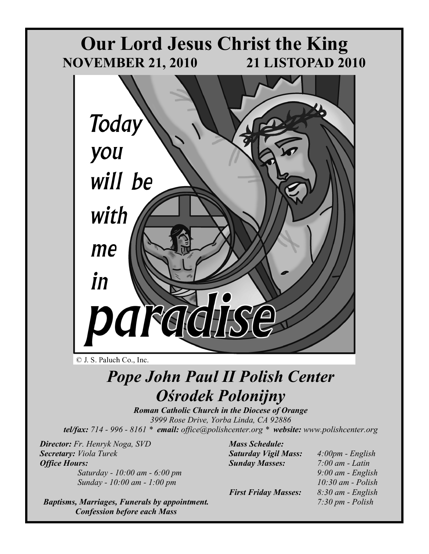

#### © J. S. Paluch Co., Inc.

# *Pope John Paul II Polish Center Ośrodek Polonijny*

*Roman Catholic Church in the Diocese of Orange 3999 Rose Drive, Yorba Linda, CA 92886 tel/fax: 714 - 996 - 8161 \* email: office@polishcenter.org \* website: www.polishcenter.org*

*Director: Fr. Henryk Noga, SVD Secretary: Viola Turek Office Hours:* 

 *Saturday - 10:00 am - 6:00 pm Sunday - 10:00 am - 1:00 pm* 

*Baptisms, Marriages, Funerals by appointment. Confession before each Mass* 

*Mass Schedule: Saturday Vigil Mass: 4:00pm - English Sunday Masses: 7:00 am - Latin* 

*First Friday Masses: 8:30 am - English* 

 *9:00 am - English 10:30 am - Polish 7:30 pm - Polish*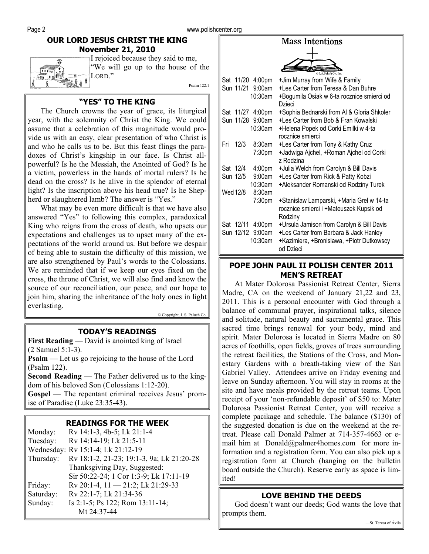#### **OUR LORD JESUS CHRIST THE KING November 21, 2010**

**FOUND !!** 

I rejoiced because they said to me, "We will go up to the house of the LORD."

Psalm 122:1

#### **"YES" TO THE KING**

The Church crowns the year of grace, its liturgical year, with the solemnity of Christ the King. We could assume that a celebration of this magnitude would provide us with an easy, clear presentation of who Christ is and who he calls us to be. But this feast flings the paradoxes of Christ's kingship in our face. Is Christ allpowerful? Is he the Messiah, the Anointed of God? Is he a victim, powerless in the hands of mortal rulers? Is he dead on the cross? Is he alive in the splendor of eternal light? Is the inscription above his head true? Is he Shepherd or slaughtered lamb? The answer is "Yes."

What may be even more difficult is that we have also answered "Yes" to following this complex, paradoxical King who reigns from the cross of death, who upsets our expectations and challenges us to upset many of the expectations of the world around us. But before we despair of being able to sustain the difficulty of this mission, we are also strengthened by Paul's words to the Colossians. We are reminded that if we keep our eyes fixed on the cross, the throne of Christ, we will also find and know the source of our reconciliation, our peace, and our hope to join him, sharing the inheritance of the holy ones in light everlasting.

© Copyright, J. S. Paluch Co.

#### **TODAY'S READINGS**

**First Reading** — David is anointed king of Israel (2 Samuel 5:1-3).

**Psalm** — Let us go rejoicing to the house of the Lord (Psalm 122).

**Second Reading** — The Father delivered us to the kingdom of his beloved Son (Colossians 1:12-20).

**Gospel** — The repentant criminal receives Jesus' promise of Paradise (Luke 23:35-43).

#### **READINGS FOR THE WEEK**

| Monday:   | Rv 14:1-3, 4b-5; Lk 21:1-4                |
|-----------|-------------------------------------------|
| Tuesday:  | Rv 14:14-19; Lk 21:5-11                   |
|           | Wednesday: Rv 15:1-4; Lk 21:12-19         |
| Thursday: | Rv 18:1-2, 21-23; 19:1-3, 9a; Lk 21:20-28 |
|           | Thanksgiving Day, Suggested:              |
|           | Sir 50:22-24; 1 Cor 1:3-9; Lk 17:11-19    |
| Friday:   | Rv 20:1-4, $11 - 21:2$ ; Lk 21:29-33      |
| Saturday: | Rv 22:1-7; Lk 21:34-36                    |
| Sunday:   | Is 2:1-5; Ps 122; Rom 13:11-14;           |
|           | Mt 24:37-44                               |

|                                | © J. S. Paluch Co. Inc.                                  |
|--------------------------------|----------------------------------------------------------|
| Sat 11/20 4:00pm               | +Jim Murray from Wife & Family                           |
| Sun 11/21 9:00am               | +Les Carter from Teresa & Dan Buhre                      |
| $10:30$ am                     | +Bogumila Osiak w 6-ta rocznice smierci od<br>Dzieci     |
| Sat 11/27 4:00pm               | +Sophia Bednarski from AI & Gloria Shkoler               |
| Sun 11/28 9:00am               | +Les Carter from Bob & Fran Kowalski                     |
| 10:30am                        | +Helena Popek od Corki Emilki w 4-ta<br>rocznice smierci |
| Fri<br>12/3<br>8:30am          | +Les Carter from Tony & Kathy Cruz                       |
| 7:30pm                         | +Jadwiga Ajchel, +Roman Ajchel od Corki<br>z Rodzina     |
| 4:00 <sub>pm</sub><br>Sat 12/4 | +Julia Welch from Carolyn & Bill Davis                   |
| 9:00am<br>Sun 12/5             | +Les Carter from Rick & Patty Kobzi                      |
| 10:30am                        | +Aleksander Romanski od Rodziny Turek                    |
| Wed 12/8<br>8:30am             |                                                          |
| 7:30pm                         | +Stanislaw Lamparski, +Maria Grel w 14-ta                |
|                                | rocznice smierci i +Mateuszek Kupsik od<br>Rodziny       |
| Sat 12/11 4:00pm               | +Ursula Jamison from Carolyn & Bill Davis                |
| Sun 12/12 9:00am               | +Les Carter from Barbara & Jack Hanley                   |
| 10:30am                        | +Kazimiera, +Bronislawa, +Piotr Dutkowscy<br>od Dzieci   |

**Mass Intentions** 

#### **POPE JOHN PAUL II POLISH CENTER 2011 MEN'S RETREAT**

At Mater Dolorosa Passionist Retreat Center, Sierra Madre, CA on the weekend of January 21,22 and 23, 2011. This is a personal encounter with God through a balance of communal prayer, inspirational talks, silence and solitude, natural beauty and sacramental grace. This sacred time brings renewal for your body, mind and spirit. Mater Dolorosa is located in Sierra Madre on 80 acres of foothills, open fields, groves of trees surrounding the retreat facilities, the Stations of the Cross, and Monestary Gardens with a breath-taking view of the San Gabriel Valley. Attendees arrive on Friday evening and leave on Sunday afternoon. You will stay in rooms at the site and have meals provided by the retreat teams. Upon receipt of your 'non-refundable deposit' of \$50 to: Mater Dolorosa Passionist Retreat Center, you will receive a complete pacikage and schedule. The balance (\$130) of the suggested donation is due on the weekend at the retreat. Please call Donald Palmer at 714-357-4663 or email him at Donald@palmer4homes.com for more information and a registration form. You can also pick up a registration form at Church (hanging on the bulletin board outside the Church). Reserve early as space is limited!

#### **LOVE BEHIND THE DEEDS**

God doesn't want our deeds; God wants the love that prompts them.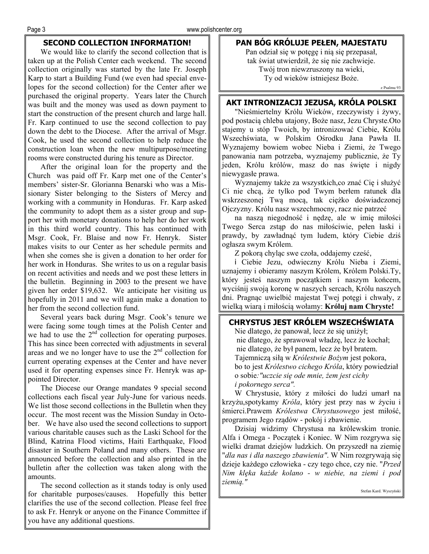#### **SECOND COLLECTION INFORMATION!**

We would like to clarify the second collection that is taken up at the Polish Center each weekend. The second collection originally was started by the late Fr. Joseph Karp to start a Building Fund (we even had special envelopes for the second collection) for the Center after we purchased the original property. Years later the Church was built and the money was used as down payment to start the construction of the present church and large hall. Fr. Karp continued to use the second collection to pay down the debt to the Diocese. After the arrival of Msgr. Cook, he used the second collection to help reduce the construction loan when the new multipurpose/meeting rooms were constructed during his tenure as Director.

After the original loan for the property and the Church was paid off Fr. Karp met one of the Center's members' sister-Sr. Glorianna Benarski who was a Missionary Sister belonging to the Sisters of Mercy and working with a community in Honduras. Fr. Karp asked the community to adopt them as a sister group and support her with monetary donations to help her do her work in this third world country. This has continued with Msgr. Cook, Fr. Blaise and now Fr. Henryk. Sister makes visits to our Center as her schedule permits and when she comes she is given a donation to her order for her work in Honduras. She writes to us on a regular basis on recent activities and needs and we post these letters in the bulletin. Beginning in 2003 to the present we have given her order \$19,632. We anticipate her visiting us hopefully in 2011 and we will again make a donation to her from the second collection fund.

Several years back during Msgr. Cook's tenure we were facing some tough times at the Polish Center and we had to use the  $2<sup>nd</sup>$  collection for operating purposes. This has since been corrected with adjustments in several areas and we no longer have to use the  $2<sup>nd</sup>$  collection for current operating expenses at the Center and have never used it for operating expenses since Fr. Henryk was appointed Director.

The Diocese our Orange mandates 9 special second collections each fiscal year July-June for various needs. We list those second collections in the Bulletin when they occur. The most recent was the Mission Sunday in October. We have also used the second collections to support various charitable causes such as the Laski School for the Blind, Katrina Flood victims, Haiti Earthquake, Flood disaster in Southern Poland and many others. These are announced before the collection and also printed in the bulletin after the collection was taken along with the amounts.

The second collection as it stands today is only used for charitable purposes/causes. Hopefully this better clarifies the use of the second collection. Please feel free to ask Fr. Henryk or anyone on the Finance Committee if you have any additional questions.

#### **PAN BÓG KRÓLUJE PEŁEN, MAJESTATU**

Pan odział się w potęgę i nią się przepasał, tak świat utwierdził, że się nie zachwieje. Twój tron niewzruszony na wieki, Ty od wieków istniejesz Boże.

z Psalmu 93

#### **AKT INTRONIZACJI JEZUSA, KRÓLA POLSKI**

"Nieśmiertelny Królu Wieków, rzeczywisty i żywy, pod postacią chleba utajony, Boże nasz, Jezu Chryste.Oto stajemy u stóp Twoich, by intronizować Ciebie, Królu Wszechświata, w Polskim Ośrodku Jana Pawła II. Wyznajemy bowiem wobec Nieba i Ziemi, że Twego panowania nam potrzeba, wyznajemy publicznie, że Ty jeden, Królu królów, masz do nas święte i nigdy niewygasłe prawa.

Wyznajemy także za wszystkich,co znać Cię i służyć Ci nie chcą, że tylko pod Twym berłem ratunek dla wskrzeszonej Twą mocą, tak ciężko doświadczonej Ojczyzny. Królu nasz wszechmocny, racz nie patrzeć

na naszą niegodność i nędzę, ale w imię miłości Twego Serca zstąp do nas miłościwie, pełen łaski i prawdy, by zawładnąć tym ludem, który Ciebie dziś ogłasza swym Królem.

Z pokorą chyląc swe czoła, oddajemy cześć,

i Ciebie Jezu, odwieczny Królu Nieba i Ziemi, uznajemy i obieramy naszym Królem, Królem Polski.Ty, który jesteś naszym początkiem i naszym końcem, wyciśnij swoją koronę w naszych sercach, Królu naszych dni. Pragnąc uwielbić majestat Twej potęgi i chwały, z wielką wiarą i miłością wołamy: **Króluj nam Chryste!**

#### **CHRYSTUS JEST KRÓLEM WSZECHŚWIATA**

Nie dlatego, że panował, lecz że się uniżył; nie dlatego, że sprawował władzę, lecz że kochał; nie dlatego, że był panem, lecz że był bratem. Tajemniczą siłą w *Królestwie Bożym* jest pokora, bo to jest *Królestwo cichego Króla*, który powiedział o sobie*:"uczcie się ode mnie, żem jest cichy i pokornego serca".*

W Chrystusie, który z miłości do ludzi umarł na krzyżu,spotykamy *Króla*, który jest przy nas w życiu i śmierci.Prawem *Królestwa Chrystusowego* jest miłość, programem Jego rządów - pokój i zbawienie.

Dzisiaj widzimy Chrystusa na królewskim tronie. Alfa i Omega - Początek i Koniec. W Nim rozgrywa się wielki dramat dziejów ludzkich. On przyszedł na ziemię "*dla nas i dla naszego zbawienia"*. W Nim rozgrywają się dzieje każdego człowieka - czy tego chce, czy nie. "*Przed Nim klęka każde kolano - w niebie, na ziemi i pod ziemią."* 

Stefan Kard. Wyszyński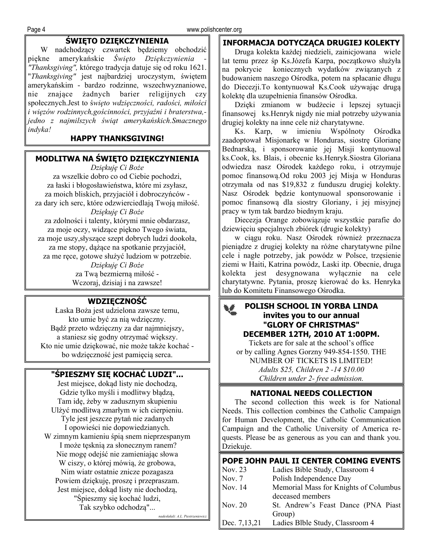# **ŚWIĘTO DZIĘKCZYNIENIA**

W nadchodzący czwartek będziemy obchodzić piękne amerykańskie *Święto Dziękczynienia - "Thanksgiving",* którego tradycja datuje się od roku 1621. "*Thanksgiving"* jest najbardziej uroczystym, świętem amerykańskim - bardzo rodzinne, wszechwyznaniowe, nie znające żadnych barier religijnych czy społecznych.Jest to ś*więto wdzięczności, radości, miłości i więzów rodzinnych,gościnności, przyjaźni i braterstwa, jedno z najmilszych świąt amerykańskich.Smacznego indyka!* 

#### **HAPPY THANKSGIVING!**

#### **MODLITWA NA ŚWIĘTO DZIĘKCZYNIENIA**

*Dziękuję Ci Boże*  za wszelkie dobro co od Ciebie pochodzi, za łaski i błogosławieństwa, które mi zsyłasz, za moich bliskich, przyjaciół i dobroczyńców za dary ich serc, które odzwierciedlają Twoją miłość. *Dziękuję Ci Boże*  za zdolności i talenty, którymi mnie obdarzasz, za moje oczy, widzące piękno Twego świata, za moje uszy,słyszące szept dobrych ludzi dookoła, za me stopy, dążące na spotkanie przyjaciół, za me ręce, gotowe służyć ludziom w potrzebie. *Dziękuję Ci Boże* za Twą bezmierną miłość - Wczoraj, dzisiaj i na zawsze!

# **WDZIĘCZNOŚĆ**

Łaska Boża jest udzielona zawsze temu, kto umie być za nią wdzięczny. Bądź przeto wdzięczny za dar najmniejszy, a staniesz się godny otrzymać większy. Kto nie umie dziękować, nie może także kochać bo wdzięczność jest pamięcią serca.

#### **"ŚPIESZMY SIĘ KOCHAĆ LUDZI"...**

Jest miejsce, dokąd listy nie dochodzą, Gdzie tylko myśli i modlitwy błądzą, Tam idę, żeby w zadusznym skupieniu Ulżyć modlitwą zmarłym w ich cierpieniu. Tyle jest jeszcze pytań nie zadanych I opowieści nie dopowiedzianych. W zimnym kamieniu śpią snem nieprzespanym I może tęsknią za słonecznym ranem? Nie mogę odejść nie zamieniając słowa W ciszy, o której mówią, że grobowa, Nim wiatr ostatnie znicze pozagasza Powiem dziękuję, proszę i przepraszam. Jest miejsce, dokąd listy nie dochodzą, "Śpieszmy się kochać ludzi, Tak szybko odchodzą"...

*nadesłałali: A.L. Piestrzeniewicz*

#### **INFORMACJA DOTYCZĄCA DRUGIEJ KOLEKTY**

Druga kolekta każdej niedzieli, zainicjowana wiele lat temu przez śp Ks.Józefa Karpa, początkowo służyła na pokrycie koniecznych wydatków związanych z budowaniem naszego Ośrodka, potem na spłacanie długu do Diecezji.To kontynuował Ks.Cook używając drugą kolektę dla uzupełnienia finansów Ośrodka.

Dzięki zmianom w budżecie i lepszej sytuacji finansowej ks.Henryk nigdy nie miał potrzeby używania drugiej kolekty na inne cele niż charytatywne.

Ks. Karp, w imieniu Wspólnoty Ośrodka zaadoptował Misjonarkę w Honduras, siostrę Glorianę Bednarską, i sponsorowanie jej Misji kontynuowal ks.Cook, ks. Blais, i obecnie ks.Henryk.Siostra Gloriana odwiedza nasz Ośrodek każdego roku, i otrzymuje pomoc finansową.Od roku 2003 jej Misja w Honduras otrzymała od nas \$19,832 z funduszu drugiej kolekty. Nasz Ośrodek będzie kontynuowal sponsorowanie i pomoc finansową dla siostry Gloriany, i jej misyjnej pracy w tym tak bardzo biednym kraju.

Diecezja Orange zobowiązuje wszystkie parafie do dziewięciu specjalnych zbiórek (drugie kolekty)

w ciągu roku. Nasz Ośrodek również przeznacza pieniądze z drugiej kolekty na różne charytatywne pilne cele i nagłe potrzeby, jak powódz w Polsce, trzęsienie ziemi w Haiti, Katrina powódz, Laski itp. Obecnie, druga kolekta jest desygnowana wyłącznie na cele charytatywne. Pytania, proszę kierować do ks. Henryka lub do Komitetu Finansowego Ośrodka.

#### **POLISH SCHOOL IN YORBA LINDA**  雙 **invites you to our annual "GLORY OF CHRISTMAS" DECEMBER 12TH, 2010 AT 1:00PM.**

Tickets are for sale at the school's office or by calling Agnes Gorzny 949-854-1550. THE NUMBER OF TICKETS IS LIMITED! *Adults \$25, Children 2 -14 \$10.00 Children under 2- free admission.*

#### **NATIONAL NEEDS COLLECTION**

The second collection this week is for National Needs. This collection combines the Catholic Campaign for Human Development, the Catholic Communication Campaign and the Catholic University of America requests. Please be as generous as you can and thank you. Dziekuje.

# **POPE JOHN PAUL II CENTER COMING EVENTS**

| Nov. 23      | Ladies Bible Study, Classroom 4       |  |  |
|--------------|---------------------------------------|--|--|
| Nov. 7       | Polish Independence Day               |  |  |
| Nov. 14      | Memorial Mass for Knights of Columbus |  |  |
|              | deceased members                      |  |  |
| Nov. 20      | St. Andrew's Feast Dance (PNA Piast)  |  |  |
|              | Group)                                |  |  |
| Dec. 7,13,21 | Ladies Blble Study, Classroom 4       |  |  |